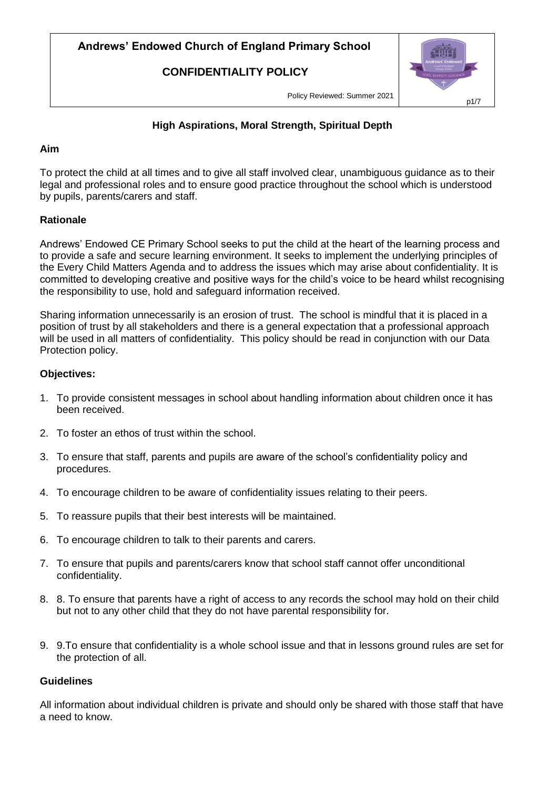**CONFIDENTIALITY POLICY**



Policy Reviewed: Summer 2021

## **High Aspirations, Moral Strength, Spiritual Depth**

#### **Aim**

To protect the child at all times and to give all staff involved clear, unambiguous guidance as to their legal and professional roles and to ensure good practice throughout the school which is understood by pupils, parents/carers and staff.

### **Rationale**

Andrews' Endowed CE Primary School seeks to put the child at the heart of the learning process and to provide a safe and secure learning environment. It seeks to implement the underlying principles of the Every Child Matters Agenda and to address the issues which may arise about confidentiality. It is committed to developing creative and positive ways for the child's voice to be heard whilst recognising the responsibility to use, hold and safeguard information received.

Sharing information unnecessarily is an erosion of trust. The school is mindful that it is placed in a position of trust by all stakeholders and there is a general expectation that a professional approach will be used in all matters of confidentiality. This policy should be read in conjunction with our Data Protection policy.

#### **Objectives:**

- 1. To provide consistent messages in school about handling information about children once it has been received.
- 2. To foster an ethos of trust within the school.
- 3. To ensure that staff, parents and pupils are aware of the school's confidentiality policy and procedures.
- 4. To encourage children to be aware of confidentiality issues relating to their peers.
- 5. To reassure pupils that their best interests will be maintained.
- 6. To encourage children to talk to their parents and carers.
- 7. To ensure that pupils and parents/carers know that school staff cannot offer unconditional confidentiality.
- 8. 8. To ensure that parents have a right of access to any records the school may hold on their child but not to any other child that they do not have parental responsibility for.
- 9. 9.To ensure that confidentiality is a whole school issue and that in lessons ground rules are set for the protection of all.

#### **Guidelines**

All information about individual children is private and should only be shared with those staff that have a need to know.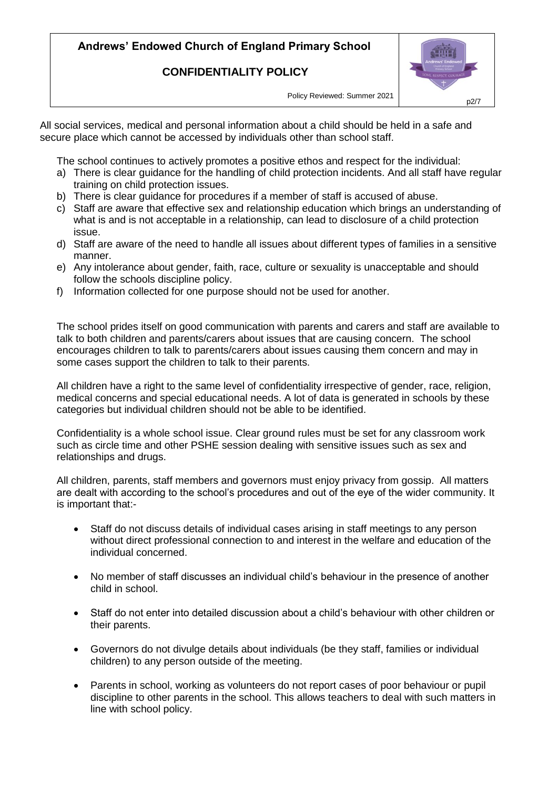## **CONFIDENTIALITY POLICY**



Policy Reviewed: Summer 2021

All social services, medical and personal information about a child should be held in a safe and secure place which cannot be accessed by individuals other than school staff.

The school continues to actively promotes a positive ethos and respect for the individual:

- a) There is clear guidance for the handling of child protection incidents. And all staff have regular training on child protection issues.
- b) There is clear guidance for procedures if a member of staff is accused of abuse.
- c) Staff are aware that effective sex and relationship education which brings an understanding of what is and is not acceptable in a relationship, can lead to disclosure of a child protection issue.
- d) Staff are aware of the need to handle all issues about different types of families in a sensitive manner.
- e) Any intolerance about gender, faith, race, culture or sexuality is unacceptable and should follow the schools discipline policy.
- f) Information collected for one purpose should not be used for another.

The school prides itself on good communication with parents and carers and staff are available to talk to both children and parents/carers about issues that are causing concern. The school encourages children to talk to parents/carers about issues causing them concern and may in some cases support the children to talk to their parents.

All children have a right to the same level of confidentiality irrespective of gender, race, religion, medical concerns and special educational needs. A lot of data is generated in schools by these categories but individual children should not be able to be identified.

Confidentiality is a whole school issue. Clear ground rules must be set for any classroom work such as circle time and other PSHE session dealing with sensitive issues such as sex and relationships and drugs.

All children, parents, staff members and governors must enjoy privacy from gossip. All matters are dealt with according to the school's procedures and out of the eye of the wider community. It is important that:-

- Staff do not discuss details of individual cases arising in staff meetings to any person without direct professional connection to and interest in the welfare and education of the individual concerned.
- No member of staff discusses an individual child's behaviour in the presence of another child in school.
- Staff do not enter into detailed discussion about a child's behaviour with other children or their parents.
- Governors do not divulge details about individuals (be they staff, families or individual children) to any person outside of the meeting.
- Parents in school, working as volunteers do not report cases of poor behaviour or pupil discipline to other parents in the school. This allows teachers to deal with such matters in line with school policy.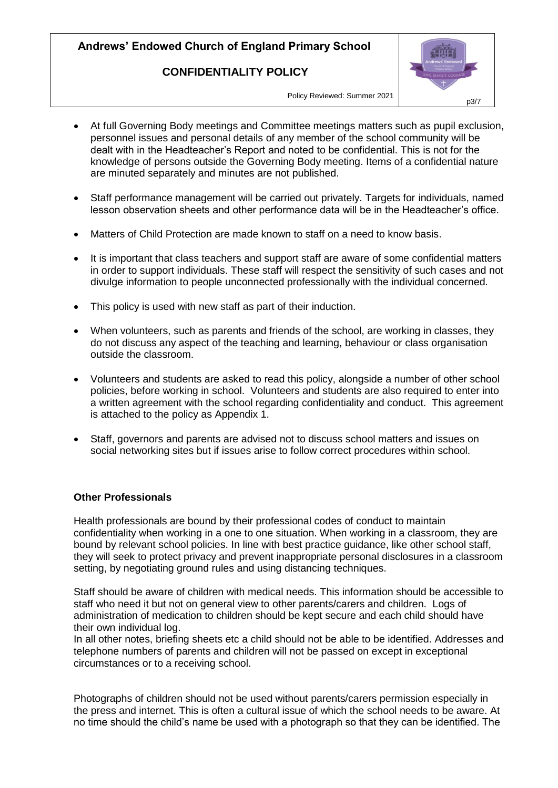### **CONFIDENTIALITY POLICY**



Policy Reviewed: Summer 2021

- At full Governing Body meetings and Committee meetings matters such as pupil exclusion, personnel issues and personal details of any member of the school community will be dealt with in the Headteacher's Report and noted to be confidential. This is not for the knowledge of persons outside the Governing Body meeting. Items of a confidential nature are minuted separately and minutes are not published.
- Staff performance management will be carried out privately. Targets for individuals, named lesson observation sheets and other performance data will be in the Headteacher's office.
- Matters of Child Protection are made known to staff on a need to know basis.
- It is important that class teachers and support staff are aware of some confidential matters in order to support individuals. These staff will respect the sensitivity of such cases and not divulge information to people unconnected professionally with the individual concerned.
- This policy is used with new staff as part of their induction.
- When volunteers, such as parents and friends of the school, are working in classes, they do not discuss any aspect of the teaching and learning, behaviour or class organisation outside the classroom.
- Volunteers and students are asked to read this policy, alongside a number of other school policies, before working in school. Volunteers and students are also required to enter into a written agreement with the school regarding confidentiality and conduct. This agreement is attached to the policy as Appendix 1.
- Staff, governors and parents are advised not to discuss school matters and issues on social networking sites but if issues arise to follow correct procedures within school.

#### **Other Professionals**

Health professionals are bound by their professional codes of conduct to maintain confidentiality when working in a one to one situation. When working in a classroom, they are bound by relevant school policies. In line with best practice guidance, like other school staff, they will seek to protect privacy and prevent inappropriate personal disclosures in a classroom setting, by negotiating ground rules and using distancing techniques.

Staff should be aware of children with medical needs. This information should be accessible to staff who need it but not on general view to other parents/carers and children. Logs of administration of medication to children should be kept secure and each child should have their own individual log.

In all other notes, briefing sheets etc a child should not be able to be identified. Addresses and telephone numbers of parents and children will not be passed on except in exceptional circumstances or to a receiving school.

Photographs of children should not be used without parents/carers permission especially in the press and internet. This is often a cultural issue of which the school needs to be aware. At no time should the child's name be used with a photograph so that they can be identified. The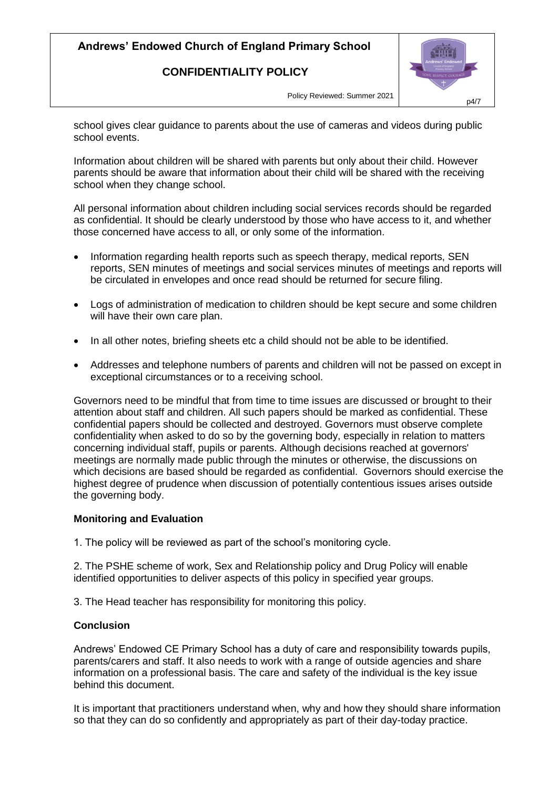## **CONFIDENTIALITY POLICY**



Policy Reviewed: Summer 2021

school gives clear guidance to parents about the use of cameras and videos during public school events.

Information about children will be shared with parents but only about their child. However parents should be aware that information about their child will be shared with the receiving school when they change school.

All personal information about children including social services records should be regarded as confidential. It should be clearly understood by those who have access to it, and whether those concerned have access to all, or only some of the information.

- Information regarding health reports such as speech therapy, medical reports, SEN reports, SEN minutes of meetings and social services minutes of meetings and reports will be circulated in envelopes and once read should be returned for secure filing.
- Logs of administration of medication to children should be kept secure and some children will have their own care plan.
- In all other notes, briefing sheets etc a child should not be able to be identified.
- Addresses and telephone numbers of parents and children will not be passed on except in exceptional circumstances or to a receiving school.

Governors need to be mindful that from time to time issues are discussed or brought to their attention about staff and children. All such papers should be marked as confidential. These confidential papers should be collected and destroyed. Governors must observe complete confidentiality when asked to do so by the governing body, especially in relation to matters concerning individual staff, pupils or parents. Although decisions reached at governors' meetings are normally made public through the minutes or otherwise, the discussions on which decisions are based should be regarded as confidential. Governors should exercise the highest degree of prudence when discussion of potentially contentious issues arises outside the governing body.

#### **Monitoring and Evaluation**

1. The policy will be reviewed as part of the school's monitoring cycle.

2. The PSHE scheme of work, Sex and Relationship policy and Drug Policy will enable identified opportunities to deliver aspects of this policy in specified year groups.

3. The Head teacher has responsibility for monitoring this policy.

#### **Conclusion**

Andrews' Endowed CE Primary School has a duty of care and responsibility towards pupils, parents/carers and staff. It also needs to work with a range of outside agencies and share information on a professional basis. The care and safety of the individual is the key issue behind this document.

It is important that practitioners understand when, why and how they should share information so that they can do so confidently and appropriately as part of their day-today practice.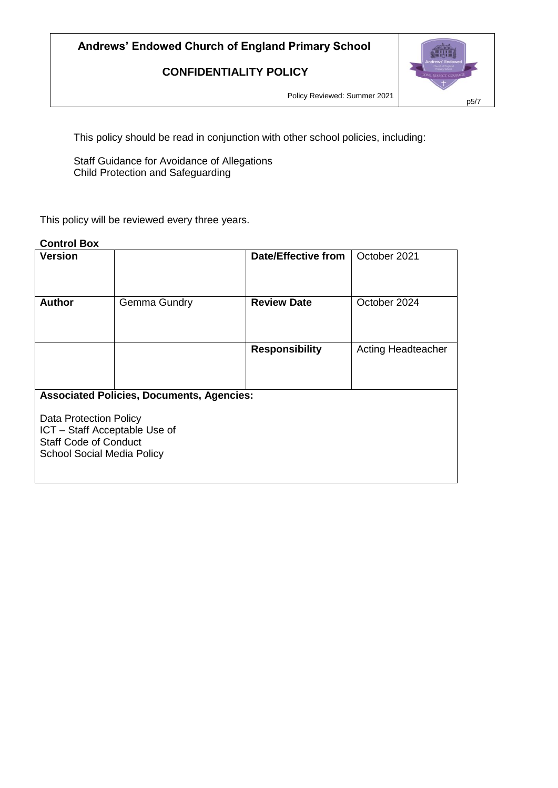## **CONFIDENTIALITY POLICY**



Policy Reviewed: Summer 2021

This policy should be read in conjunction with other school policies, including:

Staff Guidance for Avoidance of Allegations Child Protection and Safeguarding

This policy will be reviewed every three years.

## **Control Box**

| <b>Version</b>                                                                                                                                                                          |              | <b>Date/Effective from</b> | October 2021              |  |
|-----------------------------------------------------------------------------------------------------------------------------------------------------------------------------------------|--------------|----------------------------|---------------------------|--|
| <b>Author</b>                                                                                                                                                                           | Gemma Gundry | <b>Review Date</b>         | October 2024              |  |
|                                                                                                                                                                                         |              | <b>Responsibility</b>      | <b>Acting Headteacher</b> |  |
| <b>Associated Policies, Documents, Agencies:</b><br><b>Data Protection Policy</b><br>ICT - Staff Acceptable Use of<br><b>Staff Code of Conduct</b><br><b>School Social Media Policy</b> |              |                            |                           |  |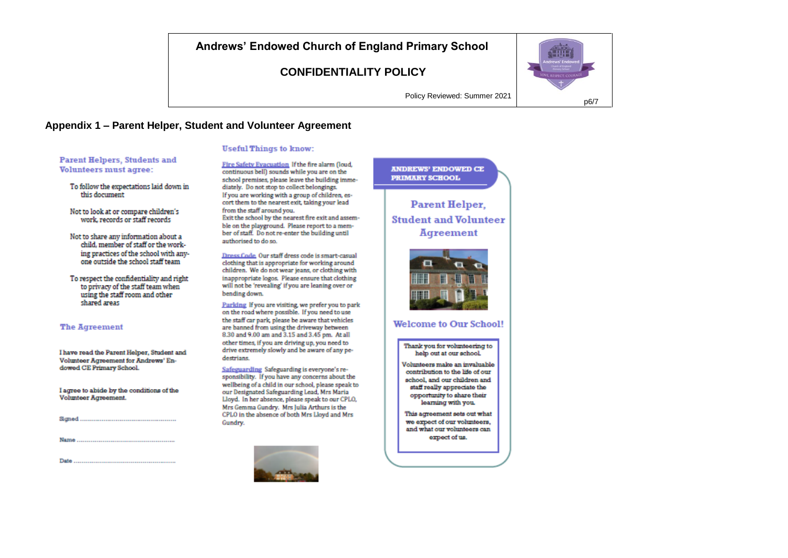## **CONFIDENTIALITY POLICY**



Policy Reviewed: Summer 2021

#### Appendix 1 - Parent Helper, Student and Volunteer Agreement

#### **Useful Things to know:**

**Parent Helpers, Students and Volunteers must agree:** 

To follow the expectations laid down in this document.

Not to look at or compare children's work, records or staff records

Not to share any information about a child, member of staff or the working practices of the school with anyone outside the school staff team

To respect the confidentiality and right to privacy of the staff team when using the staff room and other shared areas

#### **The Agreement**

Masona

Date.

I have read the Parent Helper, Student and Volunteer Agreement for Andrews' Endowed CE Primary School.

I acree to abide by the conditions of the Volunteer Agreement.

Fire Safety Evacuation If the fire alarm (loud, continuous bell) sounds while you are on the school premises, please leave the building immediately. Do not stop to collect belongings. If you are working with a group of children, escort them to the nearest exit, taking your lead from the staff around you. Exit the school by the nearest fire exit and assemble on the playground. Please report to a member of staff. Do not re-enter the building until authorised to do so.

Dress Code, Our staff dress code is smart-casual clothing that is appropriate for working around children. We do not wear jeans, or clothing with inappropriate logos. Please ensure that clothing will not be 'revealing' if you are leaning over or bending down.

Parking If you are visiting, we prefer you to park on the road where possible. If you need to use the staff car park, please be aware that vehicles are banned from using the driveway between 8.30 and 9.00 am and 3.15 and 3.45 pm. At all other times, if you are driving up, you need to drive extremely slowly and be aware of any pedestrians.

Safeguarding Safeguarding is everyone's responsibility. If you have any concerns about the wellbeing of a child in our school, please speak to our Designated Safeguarding Lead, Mrs Maria Lloyd. In her absence, please speak to our CPLO, Mrs Gemma Gundry. Mrs Julia Arthurs is the CPLO in the absence of both Mrs Lloyd and Mrs Gundry.



## **ANDREWS' ENDOWED CE PRIMARY SCHOOL**

**Parent Helper. Student and Volunteer** Agreement



#### **Welcome to Our School!**

Thank you for volunteering to help out at our school.

Volunteers make an invaluable contribution to the life of our school, and our children and staff really appreciate the opportunity to share their learning with you.

This agreement sets out what we expect of our volunteers. and what our volunteers can expect of us.